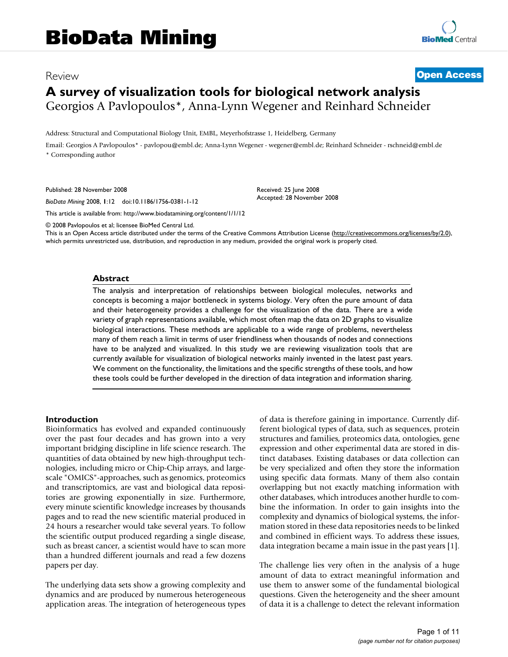# Review **[Open Access](http://www.biomedcentral.com/info/about/charter/) A survey of visualization tools for biological network analysis** Georgios A Pavlopoulos\*, Anna-Lynn Wegener and Reinhard Schneider

Address: Structural and Computational Biology Unit, EMBL, Meyerhofstrasse 1, Heidelberg, Germany

Email: Georgios A Pavlopoulos\* - pavlopou@embl.de; Anna-Lynn Wegener - wegener@embl.de; Reinhard Schneider - rschneid@embl.de \* Corresponding author

Published: 28 November 2008

*BioData Mining* 2008, **1**:12 doi:10.1186/1756-0381-1-12

[This article is available from: http://www.biodatamining.org/content/1/1/12](http://www.biodatamining.org/content/1/1/12)

© 2008 Pavlopoulos et al; licensee BioMed Central Ltd.

This is an Open Access article distributed under the terms of the Creative Commons Attribution License [\(http://creativecommons.org/licenses/by/2.0\)](http://creativecommons.org/licenses/by/2.0), which permits unrestricted use, distribution, and reproduction in any medium, provided the original work is properly cited.

Received: 25 June 2008 Accepted: 28 November 2008

#### **Abstract**

The analysis and interpretation of relationships between biological molecules, networks and concepts is becoming a major bottleneck in systems biology. Very often the pure amount of data and their heterogeneity provides a challenge for the visualization of the data. There are a wide variety of graph representations available, which most often map the data on 2D graphs to visualize biological interactions. These methods are applicable to a wide range of problems, nevertheless many of them reach a limit in terms of user friendliness when thousands of nodes and connections have to be analyzed and visualized. In this study we are reviewing visualization tools that are currently available for visualization of biological networks mainly invented in the latest past years. We comment on the functionality, the limitations and the specific strengths of these tools, and how these tools could be further developed in the direction of data integration and information sharing.

#### **Introduction**

Bioinformatics has evolved and expanded continuously over the past four decades and has grown into a very important bridging discipline in life science research. The quantities of data obtained by new high-throughput technologies, including micro or Chip-Chip arrays, and largescale "OMICS"-approaches, such as genomics, proteomics and transcriptomics, are vast and biological data repositories are growing exponentially in size. Furthermore, every minute scientific knowledge increases by thousands pages and to read the new scientific material produced in 24 hours a researcher would take several years. To follow the scientific output produced regarding a single disease, such as breast cancer, a scientist would have to scan more than a hundred different journals and read a few dozens papers per day.

The underlying data sets show a growing complexity and dynamics and are produced by numerous heterogeneous application areas. The integration of heterogeneous types of data is therefore gaining in importance. Currently different biological types of data, such as sequences, protein structures and families, proteomics data, ontologies, gene expression and other experimental data are stored in distinct databases. Existing databases or data collection can be very specialized and often they store the information using specific data formats. Many of them also contain overlapping but not exactly matching information with other databases, which introduces another hurdle to combine the information. In order to gain insights into the complexity and dynamics of biological systems, the information stored in these data repositories needs to be linked and combined in efficient ways. To address these issues, data integration became a main issue in the past years [[1](#page-8-0)].

The challenge lies very often in the analysis of a huge amount of data to extract meaningful information and use them to answer some of the fundamental biological questions. Given the heterogeneity and the sheer amount of data it is a challenge to detect the relevant information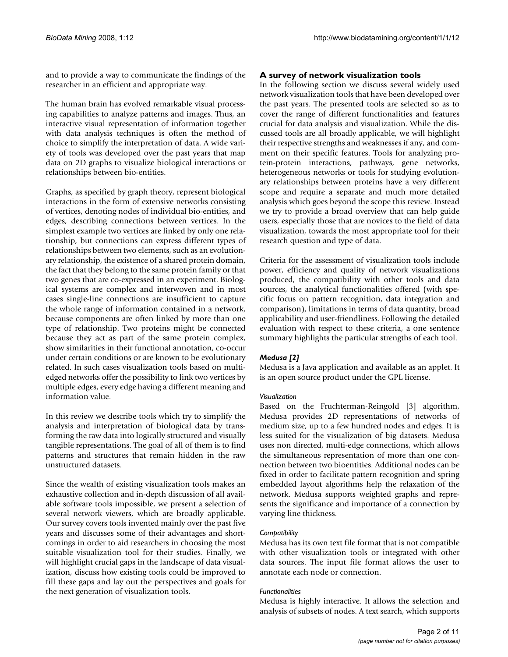and to provide a way to communicate the findings of the researcher in an efficient and appropriate way.

The human brain has evolved remarkable visual processing capabilities to analyze patterns and images. Thus, an interactive visual representation of information together with data analysis techniques is often the method of choice to simplify the interpretation of data. A wide variety of tools was developed over the past years that map data on 2D graphs to visualize biological interactions or relationships between bio-entities.

Graphs, as specified by graph theory, represent biological interactions in the form of extensive networks consisting of vertices, denoting nodes of individual bio-entities, and edges, describing connections between vertices. In the simplest example two vertices are linked by only one relationship, but connections can express different types of relationships between two elements, such as an evolutionary relationship, the existence of a shared protein domain, the fact that they belong to the same protein family or that two genes that are co-expressed in an experiment. Biological systems are complex and interwoven and in most cases single-line connections are insufficient to capture the whole range of information contained in a network, because components are often linked by more than one type of relationship. Two proteins might be connected because they act as part of the same protein complex, show similarities in their functional annotation, co-occur under certain conditions or are known to be evolutionary related. In such cases visualization tools based on multiedged networks offer the possibility to link two vertices by multiple edges, every edge having a different meaning and information value.

In this review we describe tools which try to simplify the analysis and interpretation of biological data by transforming the raw data into logically structured and visually tangible representations. The goal of all of them is to find patterns and structures that remain hidden in the raw unstructured datasets.

Since the wealth of existing visualization tools makes an exhaustive collection and in-depth discussion of all available software tools impossible, we present a selection of several network viewers, which are broadly applicable. Our survey covers tools invented mainly over the past five years and discusses some of their advantages and shortcomings in order to aid researchers in choosing the most suitable visualization tool for their studies. Finally, we will highlight crucial gaps in the landscape of data visualization, discuss how existing tools could be improved to fill these gaps and lay out the perspectives and goals for the next generation of visualization tools.

## **A survey of network visualization tools**

In the following section we discuss several widely used network visualization tools that have been developed over the past years. The presented tools are selected so as to cover the range of different functionalities and features crucial for data analysis and visualization. While the discussed tools are all broadly applicable, we will highlight their respective strengths and weaknesses if any, and comment on their specific features. Tools for analyzing protein-protein interactions, pathways, gene networks, heterogeneous networks or tools for studying evolutionary relationships between proteins have a very different scope and require a separate and much more detailed analysis which goes beyond the scope this review. Instead we try to provide a broad overview that can help guide users, especially those that are novices to the field of data visualization, towards the most appropriate tool for their research question and type of data.

Criteria for the assessment of visualization tools include power, efficiency and quality of network visualizations produced, the compatibility with other tools and data sources, the analytical functionalities offered (with specific focus on pattern recognition, data integration and comparison), limitations in terms of data quantity, broad applicability and user-friendliness. Following the detailed evaluation with respect to these criteria, a one sentence summary highlights the particular strengths of each tool.

# *Medusa [\[2](#page-8-1)]*

Medusa is a Java application and available as an applet. It is an open source product under the GPL license.

## *Visualization*

Based on the Fruchterman-Reingold [[3](#page-8-2)] algorithm, Medusa provides 2D representations of networks of medium size, up to a few hundred nodes and edges. It is less suited for the visualization of big datasets. Medusa uses non directed, multi-edge connections, which allows the simultaneous representation of more than one connection between two bioentities. Additional nodes can be fixed in order to facilitate pattern recognition and spring embedded layout algorithms help the relaxation of the network. Medusa supports weighted graphs and represents the significance and importance of a connection by varying line thickness.

## *Compatibility*

Medusa has its own text file format that is not compatible with other visualization tools or integrated with other data sources. The input file format allows the user to annotate each node or connection.

### *Functionalities*

Medusa is highly interactive. It allows the selection and analysis of subsets of nodes. A text search, which supports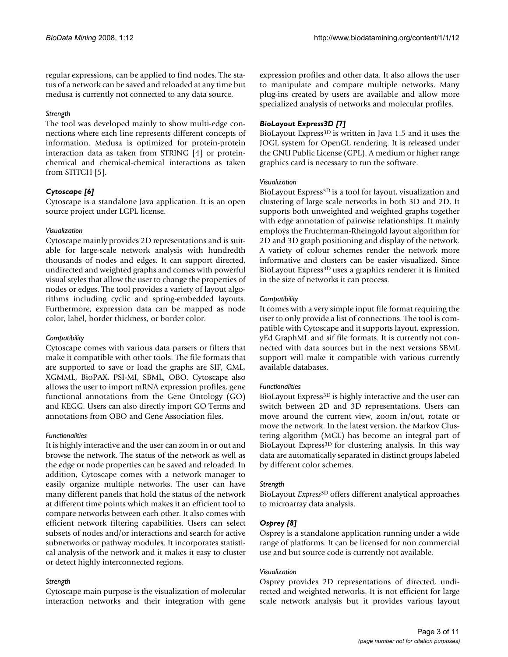regular expressions, can be applied to find nodes. The status of a network can be saved and reloaded at any time but medusa is currently not connected to any data source.

# *Strength*

The tool was developed mainly to show multi-edge connections where each line represents different concepts of information. Medusa is optimized for protein-protein interaction data as taken from STRING [\[4\]](#page-8-3) or proteinchemical and chemical-chemical interactions as taken from STITCH [\[5\]](#page-8-4).

# *Cytoscape [[6\]](#page-8-5)*

Cytoscape is a standalone Java application. It is an open source project under LGPL license.

# *Visualization*

Cytoscape mainly provides 2D representations and is suitable for large-scale network analysis with hundredth thousands of nodes and edges. It can support directed, undirected and weighted graphs and comes with powerful visual styles that allow the user to change the properties of nodes or edges. The tool provides a variety of layout algorithms including cyclic and spring-embedded layouts. Furthermore, expression data can be mapped as node color, label, border thickness, or border color.

# *Compatibility*

Cytoscape comes with various data parsers or filters that make it compatible with other tools. The file formats that are supported to save or load the graphs are SIF, GML, XGMML, BioPAX, PSI-MI, SBML, OBO. Cytoscape also allows the user to import mRNA expression profiles, gene functional annotations from the Gene Ontology (GO) and KEGG. Users can also directly import GO Terms and annotations from OBO and Gene Association files.

## *Functionalities*

It is highly interactive and the user can zoom in or out and browse the network. The status of the network as well as the edge or node properties can be saved and reloaded. In addition, Cytoscape comes with a network manager to easily organize multiple networks. The user can have many different panels that hold the status of the network at different time points which makes it an efficient tool to compare networks between each other. It also comes with efficient network filtering capabilities. Users can select subsets of nodes and/or interactions and search for active subnetworks or pathway modules. It incorporates statistical analysis of the network and it makes it easy to cluster or detect highly interconnected regions.

# *Strength*

Cytoscape main purpose is the visualization of molecular interaction networks and their integration with gene expression profiles and other data. It also allows the user to manipulate and compare multiple networks. Many plug-ins created by users are available and allow more specialized analysis of networks and molecular profiles.

# *BioLayout Express3D [\[7](#page-8-6)]*

BioLayout Express3D is written in Java 1.5 and it uses the JOGL system for OpenGL rendering. It is released under the GNU Public License (GPL). A medium or higher range graphics card is necessary to run the software.

# *Visualization*

BioLayout Express<sup>3D</sup> is a tool for layout, visualization and clustering of large scale networks in both 3D and 2D. It supports both unweighted and weighted graphs together with edge annotation of pairwise relationships. It mainly employs the Fruchterman-Rheingold layout algorithm for 2D and 3D graph positioning and display of the network. A variety of colour schemes render the network more informative and clusters can be easier visualized. Since BioLayout Express3D uses a graphics renderer it is limited in the size of networks it can process.

# *Compatibility*

It comes with a very simple input file format requiring the user to only provide a list of connections. The tool is compatible with Cytoscape and it supports layout, expression, yEd GraphML and sif file formats. It is currently not connected with data sources but in the next versions SBML support will make it compatible with various currently available databases.

## *Functionalities*

BioLayout Express3D is highly interactive and the user can switch between 2D and 3D representations. Users can move around the current view, zoom in/out, rotate or move the network. In the latest version, the Markov Clustering algorithm (MCL) has become an integral part of BioLayout Express3D for clustering analysis. In this way data are automatically separated in distinct groups labeled by different color schemes.

## *Strength*

BioLayout *Express*3D offers different analytical approaches to microarray data analysis.

# *Osprey [\[8](#page-8-7)]*

Osprey is a standalone application running under a wide range of platforms. It can be licensed for non commercial use and but source code is currently not available.

## *Visualization*

Osprey provides 2D representations of directed, undirected and weighted networks. It is not efficient for large scale network analysis but it provides various layout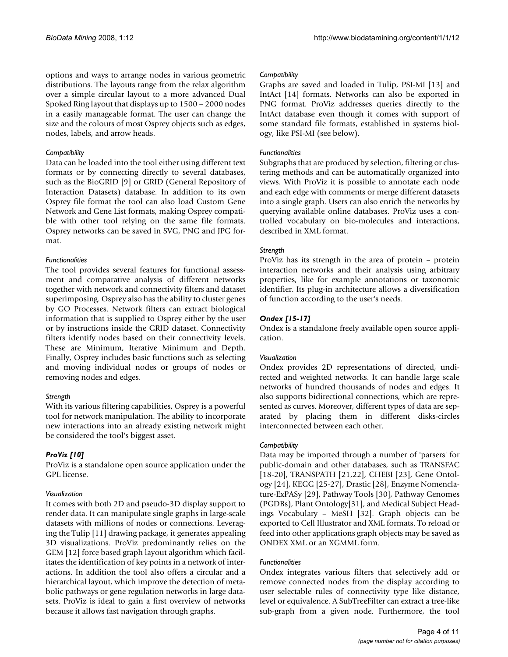options and ways to arrange nodes in various geometric distributions. The layouts range from the relax algorithm over a simple circular layout to a more advanced Dual Spoked Ring layout that displays up to 1500 – 2000 nodes in a easily manageable format. The user can change the size and the colours of most Osprey objects such as edges, nodes, labels, and arrow heads.

#### *Compatibility*

Data can be loaded into the tool either using different text formats or by connecting directly to several databases, such as the BioGRID [\[9\]](#page-8-8) or GRID (General Repository of Interaction Datasets) database. In addition to its own Osprey file format the tool can also load Custom Gene Network and Gene List formats, making Osprey compatible with other tool relying on the same file formats. Osprey networks can be saved in SVG, PNG and JPG format.

#### *Functionalities*

The tool provides several features for functional assessment and comparative analysis of different networks together with network and connectivity filters and dataset superimposing. Osprey also has the ability to cluster genes by GO Processes. Network filters can extract biological information that is supplied to Osprey either by the user or by instructions inside the GRID dataset. Connectivity filters identify nodes based on their connectivity levels. These are Minimum, Iterative Minimum and Depth. Finally, Osprey includes basic functions such as selecting and moving individual nodes or groups of nodes or removing nodes and edges.

## *Strength*

With its various filtering capabilities, Osprey is a powerful tool for network manipulation. The ability to incorporate new interactions into an already existing network might be considered the tool's biggest asset.

## *ProViz [[10\]](#page-8-9)*

ProViz is a standalone open source application under the GPL license.

## *Visualization*

It comes with both 2D and pseudo-3D display support to render data. It can manipulate single graphs in large-scale datasets with millions of nodes or connections. Leveraging the Tulip [\[11](#page-8-10)] drawing package, it generates appealing 3D visualizations. ProViz predominantly relies on the GEM [\[12\]](#page-8-11) force based graph layout algorithm which facilitates the identification of key points in a network of interactions. In addition the tool also offers a circular and a hierarchical layout, which improve the detection of metabolic pathways or gene regulation networks in large datasets. ProViz is ideal to gain a first overview of networks because it allows fast navigation through graphs.

#### *Compatibility*

Graphs are saved and loaded in Tulip, PSI-MI [[13\]](#page-8-12) and IntAct [\[14](#page-8-13)] formats. Networks can also be exported in PNG format. ProViz addresses queries directly to the IntAct database even though it comes with support of some standard file formats, established in systems biology, like PSI-MI (see below).

#### *Functionalities*

Subgraphs that are produced by selection, filtering or clustering methods and can be automatically organized into views. With ProViz it is possible to annotate each node and each edge with comments or merge different datasets into a single graph. Users can also enrich the networks by querying available online databases. ProViz uses a controlled vocabulary on bio-molecules and interactions, described in XML format.

#### *Strength*

ProViz has its strength in the area of protein – protein interaction networks and their analysis using arbitrary properties, like for example annotations or taxonomic identifier. Its plug-in architecture allows a diversification of function according to the user's needs.

#### *Ondex [\[15-](#page-8-14)[17\]](#page-8-15)*

Ondex is a standalone freely available open source application.

#### *Visualization*

Ondex provides 2D representations of directed, undirected and weighted networks. It can handle large scale networks of hundred thousands of nodes and edges. It also supports bidirectional connections, which are represented as curves. Moreover, different types of data are separated by placing them in different disks-circles interconnected between each other.

#### *Compatibility*

Data may be imported through a number of 'parsers' for public-domain and other databases, such as TRANSFAC [[18](#page-8-16)[-20](#page-9-0)], TRANSPATH [[21](#page-9-1),[22\]](#page-9-2), CHEBI [\[23](#page-9-3)], Gene Ontology [[24\]](#page-9-4), KEGG [\[25](#page-9-5)[-27](#page-9-6)], Drastic [\[28](#page-9-7)], Enzyme Nomenclature-ExPASy [[29\]](#page-9-8), Pathway Tools [\[30](#page-9-9)], Pathway Genomes (PGDBs), Plant Ontology[\[31](#page-9-10)], and Medical Subject Headings Vocabulary – MeSH [\[32](#page-9-11)]. Graph objects can be exported to Cell Illustrator and XML formats. To reload or feed into other applications graph objects may be saved as ONDEX XML or an XGMML form.

#### *Functionalities*

Ondex integrates various filters that selectively add or remove connected nodes from the display according to user selectable rules of connectivity type like distance, level or equivalence. A SubTreeFilter can extract a tree-like sub-graph from a given node. Furthermore, the tool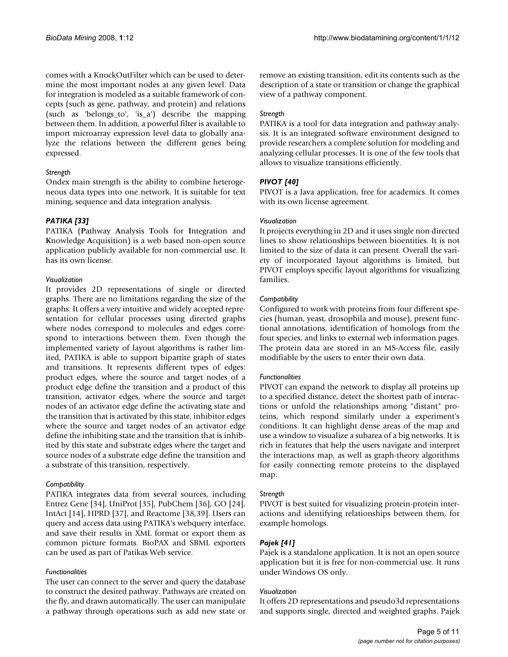comes with a KnockOutFilter which can be used to determine the most important nodes at any given level. Data for integration is modeled as a suitable framework of concepts (such as gene, pathway, and protein) and relations (such as 'belongs\_to', 'is\_a') describe the mapping between them. In addition, a powerful filter is available to import microarray expression level data to globally analyze the relations between the different genes being expressed.

# *Strength*

Ondex main strength is the ability to combine heterogeneous data types into one network. It is suitable for text mining, sequence and data integration analysis.

# *PATIKA [[33\]](#page-9-12)*

PATIKA (**P**athway **A**nalysis **T**ools for **I**ntegration and **K**nowledge **A**cquisition) is a web based non-open source application publicly available for non-commercial use. It has its own license.

## *Visualization*

It provides 2D representations of single or directed graphs. There are no limitations regarding the size of the graphs. It offers a very intuitive and widely accepted representation for cellular processes using directed graphs where nodes correspond to molecules and edges correspond to interactions between them. Even though the implemented variety of layout algorithms is rather limited, PATIKA is able to support bipartite graph of states and transitions. It represents different types of edges: product edges, where the source and target nodes of a product edge define the transition and a product of this transition, activator edges, where the source and target nodes of an activator edge define the activating state and the transition that is activated by this state, inhibitor edges where the source and target nodes of an activator edge define the inhibiting state and the transition that is inhibited by this state and substrate edges where the target and source nodes of a substrate edge define the transition and a substrate of this transition, respectively.

## *Compatibility*

PATIKA integrates data from several sources, including Entrez Gene [\[34](#page-9-13)], UniProt [\[35](#page-9-14)], PubChem [[36\]](#page-9-15), GO [\[24](#page-9-4)], IntAct [\[14](#page-8-13)], HPRD [[37](#page-9-16)], and Reactome [\[38](#page-9-17),[39\]](#page-9-18). Users can query and access data using PATIKA's webquery interface, and save their results in XML format or export them as common picture formats. BioPAX and SBML exporters can be used as part of Patikas Web service.

## *Functionalities*

The user can connect to the server and query the database to construct the desired pathway. Pathways are created on the fly, and drawn automatically. The user can manipulate a pathway through operations such as add new state or remove an existing transition, edit its contents such as the description of a state or transition or change the graphical view of a pathway component.

# *Strength*

PATIKA is a tool for data integration and pathway analysis. It is an integrated software environment designed to provide researchers a complete solution for modeling and analyzing cellular processes. It is one of the few tools that allows to visualize transitions efficiently.

# *PIVOT [[40\]](#page-9-19)*

PIVOT is a Java application, free for academics. It comes with its own license agreement.

# *Visualization*

It projects everything in 2D and it uses single non directed lines to show relationships between bioentities. It is not limited to the size of data it can present. Overall the variety of incorporated layout algorithms is limited, but PIVOT employs specific layout algorithms for visualizing families.

# *Compatibility*

Configured to work with proteins from four different species (human, yeast, drosophila and mouse), present functional annotations, identification of homologs from the four species, and links to external web information pages. The protein data are stored in an MS-Access file, easily modifiable by the users to enter their own data.

## *Functionalities*

PIVOT can expand the network to display all proteins up to a specified distance, detect the shortest path of interactions or unfold the relationships among "distant" proteins, which respond similarly under a experiment's conditions. It can highlight dense areas of the map and use a window to visualize a subarea of a big networks. It is rich in features that help the users navigate and interpret the interactions map, as well as graph-theory algorithms for easily connecting remote proteins to the displayed map.

## *Strength*

PIVOT is best suited for visualizing protein-protein interactions and identifying relationships between them, for example homologs.

# *Pajek [\[41](#page-9-20)]*

Pajek is a standalone application. It is not an open source application but it is free for non-commercial use. It runs under Windows OS only.

# *Visualization*

It offers 2D representations and pseudo3d representations and supports single, directed and weighted graphs. Pajek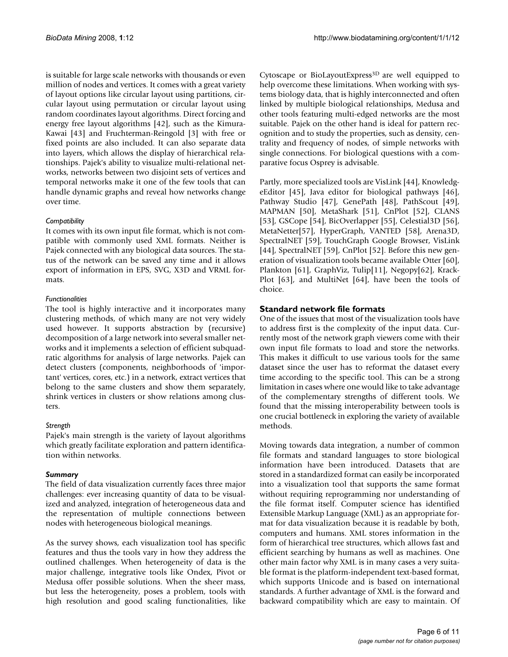is suitable for large scale networks with thousands or even million of nodes and vertices. It comes with a great variety of layout options like circular layout using partitions, circular layout using permutation or circular layout using random coordinates layout algorithms. Direct forcing and energy free layout algorithms [[42](#page-9-21)], such as the Kimura-Kawai [[43](#page-9-22)] and Fruchterman-Reingold [\[3\]](#page-8-2) with free or fixed points are also included. It can also separate data into layers, which allows the display of hierarchical relationships. Pajek's ability to visualize multi-relational networks, networks between two disjoint sets of vertices and temporal networks make it one of the few tools that can handle dynamic graphs and reveal how networks change over time.

# *Compatibility*

It comes with its own input file format, which is not compatible with commonly used XML formats. Neither is Pajek connected with any biological data sources. The status of the network can be saved any time and it allows export of information in EPS, SVG, X3D and VRML formats.

# *Functionalities*

The tool is highly interactive and it incorporates many clustering methods, of which many are not very widely used however. It supports abstraction by (recursive) decomposition of a large network into several smaller networks and it implements a selection of efficient subquadratic algorithms for analysis of large networks. Pajek can detect clusters (components, neighborhoods of 'important' vertices, cores, etc.) in a network, extract vertices that belong to the same clusters and show them separately, shrink vertices in clusters or show relations among clusters.

# *Strength*

Pajek's main strength is the variety of layout algorithms which greatly facilitate exploration and pattern identification within networks.

# *Summary*

The field of data visualization currently faces three major challenges: ever increasing quantity of data to be visualized and analyzed, integration of heterogeneous data and the representation of multiple connections between nodes with heterogeneous biological meanings.

As the survey shows, each visualization tool has specific features and thus the tools vary in how they address the outlined challenges. When heterogeneity of data is the major challenge, integrative tools like Ondex, Pivot or Medusa offer possible solutions. When the sheer mass, but less the heterogeneity, poses a problem, tools with high resolution and good scaling functionalities, like Cytoscape or BioLayoutExpress3D are well equipped to help overcome these limitations. When working with systems biology data, that is highly interconnected and often linked by multiple biological relationships, Medusa and other tools featuring multi-edged networks are the most suitable. Pajek on the other hand is ideal for pattern recognition and to study the properties, such as density, centrality and frequency of nodes, of simple networks with single connections. For biological questions with a comparative focus Osprey is advisable.

Partly, more specialized tools are VisLink [[44](#page-9-23)], KnowledgeEditor [[45\]](#page-9-24), Java editor for biological pathways [\[46](#page-9-25)], Pathway Studio [[47\]](#page-9-26), GenePath [\[48](#page-9-27)], PathScout [\[49](#page-9-28)], MAPMAN [[50\]](#page-9-29), MetaShark [[51](#page-9-30)], CnPlot [\[52](#page-9-31)], CLANS [[53](#page-9-32)], GSCope [[54\]](#page-9-33), BicOverlapper [[55](#page-9-34)], Celestial3D [\[56](#page-9-35)], MetaNetter[[57](#page-9-36)], HyperGraph, VANTED [\[58\]](#page-9-37), Arena3D, SpectralNET [[59](#page-9-38)], TouchGraph Google Browser, VisLink [[44](#page-9-23)], SpectralNET [\[59](#page-9-38)], CnPlot [[52](#page-9-31)]. Before this new generation of visualization tools became available Otter [\[60](#page-9-39)], Plankton [[61](#page-9-40)], GraphViz, Tulip[[11\]](#page-8-10), Negopy[\[62\]](#page-9-41), Krack-Plot [[63\]](#page-9-42), and MultiNet [[64](#page-9-43)], have been the tools of choice.

# **Standard network file formats**

One of the issues that most of the visualization tools have to address first is the complexity of the input data. Currently most of the network graph viewers come with their own input file formats to load and store the networks. This makes it difficult to use various tools for the same dataset since the user has to reformat the dataset every time according to the specific tool. This can be a strong limitation in cases where one would like to take advantage of the complementary strengths of different tools. We found that the missing interoperability between tools is one crucial bottleneck in exploring the variety of available methods.

Moving towards data integration, a number of common file formats and standard languages to store biological information have been introduced. Datasets that are stored in a standardized format can easily be incorporated into a visualization tool that supports the same format without requiring reprogramming nor understanding of the file format itself. Computer science has identified Extensible Markup Language (XML) as an appropriate format for data visualization because it is readable by both, computers and humans. XML stores information in the form of hierarchical tree structures, which allows fast and efficient searching by humans as well as machines. One other main factor why XML is in many cases a very suitable format is the platform-independent text-based format, which supports Unicode and is based on international standards. A further advantage of XML is the forward and backward compatibility which are easy to maintain. Of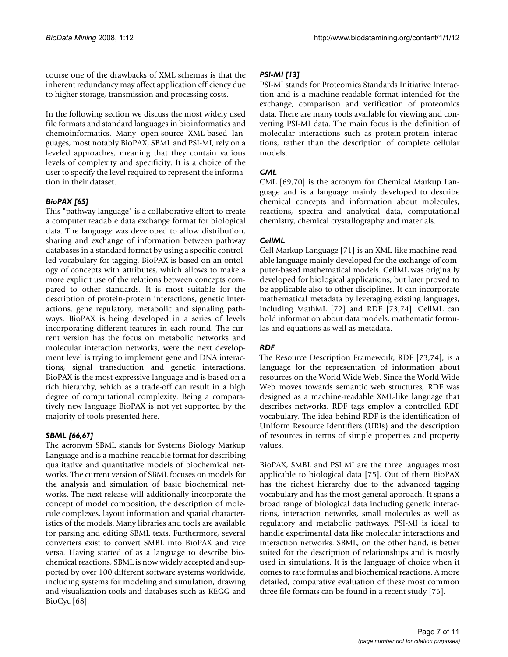course one of the drawbacks of XML schemas is that the inherent redundancy may affect application efficiency due to higher storage, transmission and processing costs.

In the following section we discuss the most widely used file formats and standard languages in bioinformatics and chemoinformatics. Many open-source XML-based languages, most notably BioPAX, SBML and PSI-MI, rely on a leveled approaches, meaning that they contain various levels of complexity and specificity. It is a choice of the user to specify the level required to represent the information in their dataset.

# *BioPAX [\[65](#page-9-44)]*

This "pathway language" is a collaborative effort to create a computer readable data exchange format for biological data. The language was developed to allow distribution, sharing and exchange of information between pathway databases in a standard format by using a specific controlled vocabulary for tagging. BioPAX is based on an ontology of concepts with attributes, which allows to make a more explicit use of the relations between concepts compared to other standards. It is most suitable for the description of protein-protein interactions, genetic interactions, gene regulatory, metabolic and signaling pathways. BioPAX is being developed in a series of levels incorporating different features in each round. The current version has the focus on metabolic networks and molecular interaction networks, were the next development level is trying to implement gene and DNA interactions, signal transduction and genetic interactions. BioPAX is the most expressive language and is based on a rich hierarchy, which as a trade-off can result in a high degree of computational complexity. Being a comparatively new language BioPAX is not yet supported by the majority of tools presented here.

## *SBML [\[66](#page-9-45),[67\]](#page-9-46)*

The acronym SBML stands for Systems Biology Markup Language and is a machine-readable format for describing qualitative and quantitative models of biochemical networks. The current version of SBML focuses on models for the analysis and simulation of basic biochemical networks. The next release will additionally incorporate the concept of model composition, the description of molecule complexes, layout information and spatial characteristics of the models. Many libraries and tools are available for parsing and editing SBML texts. Furthermore, several converters exist to convert SMBL into BioPAX and vice versa. Having started of as a language to describe biochemical reactions, SBML is now widely accepted and supported by over 100 different software systems worldwide, including systems for modeling and simulation, drawing and visualization tools and databases such as KEGG and BioCyc [[68\]](#page-10-0).

# *PSI-MI [[13\]](#page-8-12)*

PSI-MI stands for Proteomics Standards Initiative Interaction and is a machine readable format intended for the exchange, comparison and verification of proteomics data. There are many tools available for viewing and converting PSI-MI data. The main focus is the definition of molecular interactions such as protein-protein interactions, rather than the description of complete cellular models.

# *CML*

CML [[69](#page-10-1),[70\]](#page-10-2) is the acronym for Chemical Markup Language and is a language mainly developed to describe chemical concepts and information about molecules, reactions, spectra and analytical data, computational chemistry, chemical crystallography and materials.

# *CellML*

Cell Markup Language [[71\]](#page-10-3) is an XML-like machine-readable language mainly developed for the exchange of computer-based mathematical models. CellML was originally developed for biological applications, but later proved to be applicable also to other disciplines. It can incorporate mathematical metadata by leveraging existing languages, including MathML [\[72](#page-10-4)] and RDF [[73](#page-10-5)[,74](#page-10-6)]. CellML can hold information about data models, mathematic formulas and equations as well as metadata.

# *RDF*

The Resource Description Framework, RDF [\[73](#page-10-5),[74](#page-10-6)], is a language for the representation of information about resources on the World Wide Web. Since the World Wide Web moves towards semantic web structures, RDF was designed as a machine-readable XML-like language that describes networks. RDF tags employ a controlled RDF vocabulary. The idea behind RDF is the identification of Uniform Resource Identifiers (URIs) and the description of resources in terms of simple properties and property values.

BioPAX, SMBL and PSI MI are the three languages most applicable to biological data [\[75](#page-10-7)]. Out of them BioPAX has the richest hierarchy due to the advanced tagging vocabulary and has the most general approach. It spans a broad range of biological data including genetic interactions, interaction networks, small molecules as well as regulatory and metabolic pathways. PSI-MI is ideal to handle experimental data like molecular interactions and interaction networks. SBML, on the other hand, is better suited for the description of relationships and is mostly used in simulations. It is the language of choice when it comes to rate formulas and biochemical reactions. A more detailed, comparative evaluation of these most common three file formats can be found in a recent study [\[76](#page-10-8)].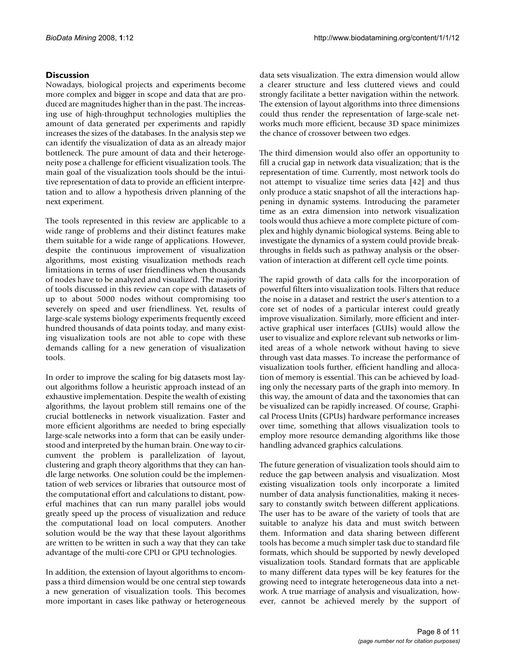# **Discussion**

Nowadays, biological projects and experiments become more complex and bigger in scope and data that are produced are magnitudes higher than in the past. The increasing use of high-throughput technologies multiplies the amount of data generated per experiments and rapidly increases the sizes of the databases. In the analysis step we can identify the visualization of data as an already major bottleneck. The pure amount of data and their heterogeneity pose a challenge for efficient visualization tools. The main goal of the visualization tools should be the intuitive representation of data to provide an efficient interpretation and to allow a hypothesis driven planning of the next experiment.

The tools represented in this review are applicable to a wide range of problems and their distinct features make them suitable for a wide range of applications. However, despite the continuous improvement of visualization algorithms, most existing visualization methods reach limitations in terms of user friendliness when thousands of nodes have to be analyzed and visualized. The majority of tools discussed in this review can cope with datasets of up to about 5000 nodes without compromising too severely on speed and user friendliness. Yet, results of large-scale systems biology experiments frequently exceed hundred thousands of data points today, and many existing visualization tools are not able to cope with these demands calling for a new generation of visualization tools.

In order to improve the scaling for big datasets most layout algorithms follow a heuristic approach instead of an exhaustive implementation. Despite the wealth of existing algorithms, the layout problem still remains one of the crucial bottlenecks in network visualization. Faster and more efficient algorithms are needed to bring especially large-scale networks into a form that can be easily understood and interpreted by the human brain. One way to circumvent the problem is parallelization of layout, clustering and graph theory algorithms that they can handle large networks. One solution could be the implementation of web services or libraries that outsource most of the computational effort and calculations to distant, powerful machines that can run many parallel jobs would greatly speed up the process of visualization and reduce the computational load on local computers. Another solution would be the way that these layout algorithms are written to be written in such a way that they can take advantage of the multi-core CPU or GPU technologies.

In addition, the extension of layout algorithms to encompass a third dimension would be one central step towards a new generation of visualization tools. This becomes more important in cases like pathway or heterogeneous data sets visualization. The extra dimension would allow a clearer structure and less cluttered views and could strongly facilitate a better navigation within the network. The extension of layout algorithms into three dimensions could thus render the representation of large-scale networks much more efficient, because 3D space minimizes the chance of crossover between two edges.

The third dimension would also offer an opportunity to fill a crucial gap in network data visualization; that is the representation of time. Currently, most network tools do not attempt to visualize time series data [\[42](#page-9-21)] and thus only produce a static snapshot of all the interactions happening in dynamic systems. Introducing the parameter time as an extra dimension into network visualization tools would thus achieve a more complete picture of complex and highly dynamic biological systems. Being able to investigate the dynamics of a system could provide breakthroughs in fields such as pathway analysis or the observation of interaction at different cell cycle time points.

The rapid growth of data calls for the incorporation of powerful filters into visualization tools. Filters that reduce the noise in a dataset and restrict the user's attention to a core set of nodes of a particular interest could greatly improve visualization. Similarly, more efficient and interactive graphical user interfaces (GUIs) would allow the user to visualize and explore relevant sub networks or limited areas of a whole network without having to sieve through vast data masses. To increase the performance of visualization tools further, efficient handling and allocation of memory is essential. This can be achieved by loading only the necessary parts of the graph into memory. In this way, the amount of data and the taxonomies that can be visualized can be rapidly increased. Of course, Graphical Process Units (GPUs) hardware performance increases over time, something that allows visualization tools to employ more resource demanding algorithms like those handling advanced graphics calculations.

The future generation of visualization tools should aim to reduce the gap between analysis and visualization. Most existing visualization tools only incorporate a limited number of data analysis functionalities, making it necessary to constantly switch between different applications. The user has to be aware of the variety of tools that are suitable to analyze his data and must switch between them. Information and data sharing between different tools has become a much simpler task due to standard file formats, which should be supported by newly developed visualization tools. Standard formats that are applicable to many different data types will be key features for the growing need to integrate heterogeneous data into a network. A true marriage of analysis and visualization, however, cannot be achieved merely by the support of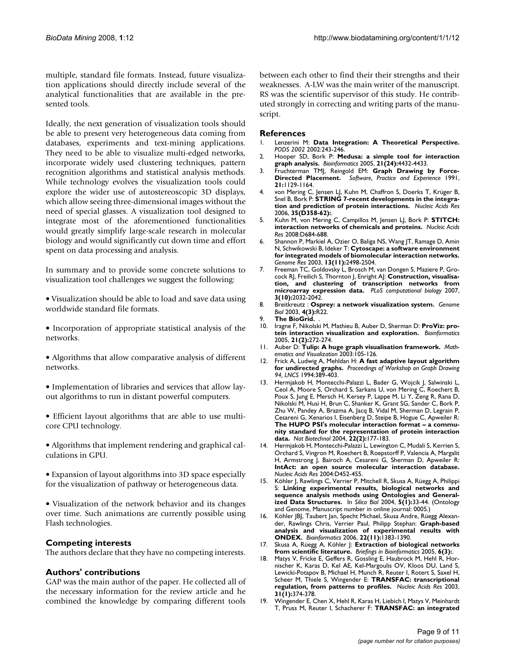multiple, standard file formats. Instead, future visualization applications should directly include several of the analytical functionalities that are available in the presented tools.

Ideally, the next generation of visualization tools should be able to present very heterogeneous data coming from databases, experiments and text-mining applications. They need to be able to visualize multi-edged networks, incorporate widely used clustering techniques, pattern recognition algorithms and statistical analysis methods. While technology evolves the visualization tools could explore the wider use of autostereoscopic 3D displays, which allow seeing three-dimensional images without the need of special glasses. A visualization tool designed to integrate most of the aforementioned functionalities would greatly simplify large-scale research in molecular biology and would significantly cut down time and effort spent on data processing and analysis.

In summary and to provide some concrete solutions to visualization tool challenges we suggest the following:

- Visualization should be able to load and save data using worldwide standard file formats.
- Incorporation of appropriate statistical analysis of the networks.
- Algorithms that allow comparative analysis of different networks.
- Implementation of libraries and services that allow layout algorithms to run in distant powerful computers.
- Efficient layout algorithms that are able to use multicore CPU technology.
- Algorithms that implement rendering and graphical calculations in GPU.
- Expansion of layout algorithms into 3D space especially for the visualization of pathway or heterogeneous data.

• Visualization of the network behavior and its changes over time. Such animations are currently possible using Flash technologies.

## **Competing interests**

The authors declare that they have no competing interests.

## **Authors' contributions**

GAP was the main author of the paper. He collected all of the necessary information for the review article and he combined the knowledge by comparing different tools between each other to find their their strengths and their weaknesses. A-LW was the main writer of the manuscript. RS was the scientific supervisor of this study. He contributed strongly in correcting and writing parts of the manuscript.

#### **References**

- <span id="page-8-0"></span>1. Lenzerini M: **Data Integration: A Theoretical Perspective.** *PODS 2002* 2002:243-246.
- <span id="page-8-1"></span>2. Hooper SD, Bork P: **[Medusa: a simple tool for interaction](http://www.ncbi.nlm.nih.gov/entrez/query.fcgi?cmd=Retrieve&db=PubMed&dopt=Abstract&list_uids=16188923) [graph analysis.](http://www.ncbi.nlm.nih.gov/entrez/query.fcgi?cmd=Retrieve&db=PubMed&dopt=Abstract&list_uids=16188923)** *Bioinformatics* 2005, **21(24):**4432-4433.
- <span id="page-8-2"></span>3. Fruchterman TMJ, Reingold EM: **Graph Drawing by Force-Directed Placement.** *Software, Practice and Experience* 1991, **21:**1129-1164.
- <span id="page-8-3"></span>4. von Mering C, Jensen LJ, Kuhn M, Chaffron S, Doerks T, Krüger B, Snel B, Bork P: **[STRING 7-recent developments in the integra](http://www.ncbi.nlm.nih.gov/entrez/query.fcgi?cmd=Retrieve&db=PubMed&dopt=Abstract&list_uids=17098935)[tion and prediction of protein interactions.](http://www.ncbi.nlm.nih.gov/entrez/query.fcgi?cmd=Retrieve&db=PubMed&dopt=Abstract&list_uids=17098935)** *Nucleic Acids Res* 2006, **35(D358-62):**.
- <span id="page-8-4"></span>5. Kuhn M, von Mering C, Campillos M, Jensen LJ, Bork P: **[STITCH:](http://www.ncbi.nlm.nih.gov/entrez/query.fcgi?cmd=Retrieve&db=PubMed&dopt=Abstract&list_uids=18084021) [interaction networks of chemicals and proteins.](http://www.ncbi.nlm.nih.gov/entrez/query.fcgi?cmd=Retrieve&db=PubMed&dopt=Abstract&list_uids=18084021)** *Nucleic Acids Res* 2008:D684-688.
- <span id="page-8-5"></span>6. Shannon P, Markiel A, Ozier O, Baliga NS, Wang JT, Ramage D, Amin N, Schwikowski B, Ideker T: **[Cytoscape: a software environment](http://www.ncbi.nlm.nih.gov/entrez/query.fcgi?cmd=Retrieve&db=PubMed&dopt=Abstract&list_uids=14597658) [for integrated models of biomolecular interaction networks.](http://www.ncbi.nlm.nih.gov/entrez/query.fcgi?cmd=Retrieve&db=PubMed&dopt=Abstract&list_uids=14597658)** *Genome Res* 2003, **13(11):**2498-2504.
- <span id="page-8-6"></span>7. Freeman TC, Goldovsky L, Brosch M, van Dongen S, Maziere P, Grocock RJ, Freilich S, Thornton J, Enright AJ: **[Construction, visualisa](http://www.ncbi.nlm.nih.gov/entrez/query.fcgi?cmd=Retrieve&db=PubMed&dopt=Abstract&list_uids=17967053)[tion, and clustering of transcription networks from](http://www.ncbi.nlm.nih.gov/entrez/query.fcgi?cmd=Retrieve&db=PubMed&dopt=Abstract&list_uids=17967053) [microarray expression data.](http://www.ncbi.nlm.nih.gov/entrez/query.fcgi?cmd=Retrieve&db=PubMed&dopt=Abstract&list_uids=17967053)** *PLoS computational biology* 2007, **3(10):**2032-2042.
- <span id="page-8-7"></span>8. Breitkreutz : **[Osprey: a network visualization system.](http://www.ncbi.nlm.nih.gov/entrez/query.fcgi?cmd=Retrieve&db=PubMed&dopt=Abstract&list_uids=12620107)** *Genome Biol* 2003, **4(3):**R22.
- <span id="page-8-8"></span>9. **The BioGrid.** .
- <span id="page-8-9"></span>10. Iragne F, Nikolski M, Mathieu B, Auber D, Sherman D: **[ProViz: pro](http://www.ncbi.nlm.nih.gov/entrez/query.fcgi?cmd=Retrieve&db=PubMed&dopt=Abstract&list_uids=15347570)[tein interaction visualization and exploration.](http://www.ncbi.nlm.nih.gov/entrez/query.fcgi?cmd=Retrieve&db=PubMed&dopt=Abstract&list_uids=15347570)** *Bioinformatics* 2005, **21(2):**272-274.
- <span id="page-8-10"></span>11. Auber D: **Tulip: A huge graph visualisation framework.** *Mathematics and Visualization* 2003:105-126.
- <span id="page-8-11"></span>12. Frick A, Ludwig A, Mehldan H: **A fast adaptive layout algorithm for undirected graphs.** *Proceedings of Workshop on Graph Drawing 94, LNCS* 1994:389-403.
- <span id="page-8-12"></span>13. Hermjakob H, Montecchi-Palazzi L, Bader G, Wojcik J, Salwinski L, Ceol A, Moore S, Orchard S, Sarkans U, von Mering C, Roechert B, Poux S, Jung E, Mersch H, Kersey P, Lappe M, Li Y, Zeng R, Rana D, Nikolski M, Husi H, Brun C, Shanker K, Grant SG, Sander C, Bork P, Zhu W, Pandey A, Brazma A, Jacq B, Vidal M, Sherman D, Legrain P, Cesareni G, Xenarios I, Eisenberg D, Steipe B, Hogue C, Apweiler R: **[The HUPO PSI's molecular interaction format – a commu](http://www.ncbi.nlm.nih.gov/entrez/query.fcgi?cmd=Retrieve&db=PubMed&dopt=Abstract&list_uids=14755292)nity standard for the representation of protein interaction [data.](http://www.ncbi.nlm.nih.gov/entrez/query.fcgi?cmd=Retrieve&db=PubMed&dopt=Abstract&list_uids=14755292)** *Nat Biotechnol* 2004, **22(2):**177-183.
- <span id="page-8-13"></span>14. Hermjakob H, Montecchi-Palazzi L, Lewington C, Mudali S, Kerrien S, Orchard S, Vingron M, Roechert B, Roepstorff P, Valencia A, Margalit H, Armstrong J, Bairoch A, Cesareni G, Sherman D, Apweiler R: **[IntAct: an open source molecular interaction database.](http://www.ncbi.nlm.nih.gov/entrez/query.fcgi?cmd=Retrieve&db=PubMed&dopt=Abstract&list_uids=14681455)** *Nucleic Acids Res* 2004:D452-455.
- <span id="page-8-14"></span>15. Köhler J, Rawlings C, Verrier P, Mitchell R, Skusa A, Rüegg A, Philippi S: **Linking experimental results, biological networks and sequence analysis methods using Ontologies and Generalized Data Structures.** In *Silico Biol* 2004, **5(1):**33-44. (Ontology and Genome, Manuscript number in online journal: 0005.)
- 16. Köhler JBJ, Taubert Jan, Specht Michael, Skusa Andre, Rüegg Alexander, Rawlings Chris, Verrier Paul, Philipp Stephan: **[Graph-based](http://www.ncbi.nlm.nih.gov/entrez/query.fcgi?cmd=Retrieve&db=PubMed&dopt=Abstract&list_uids=16533819) [analysis and visualization of experimental results with](http://www.ncbi.nlm.nih.gov/entrez/query.fcgi?cmd=Retrieve&db=PubMed&dopt=Abstract&list_uids=16533819) [ONDEX.](http://www.ncbi.nlm.nih.gov/entrez/query.fcgi?cmd=Retrieve&db=PubMed&dopt=Abstract&list_uids=16533819)** *Bioinformatics* 2006, **22(11):**1383-1390.
- <span id="page-8-15"></span>17. Skusa A, Rüegg A, Köhler J: **[Extraction of biological networks](http://www.ncbi.nlm.nih.gov/entrez/query.fcgi?cmd=Retrieve&db=PubMed&dopt=Abstract&list_uids=16212774) [from scientific literature.](http://www.ncbi.nlm.nih.gov/entrez/query.fcgi?cmd=Retrieve&db=PubMed&dopt=Abstract&list_uids=16212774)** *Briefings in Bioinformatics* 2005, **6(3):**.
- <span id="page-8-16"></span>18. Matys V, Fricke E, Geffers R, Gossling E, Haubrock M, Hehl R, Hornischer K, Karas D, Kel AE, Kel-Margoulis OV, Kloos DU, Land S, Lewicki-Potapov B, Michael H, Munch R, Reuter I, Rotert S, Saxel H, Scheer M, Thiele S, Wingender E: **[TRANSFAC: transcriptional](http://www.ncbi.nlm.nih.gov/entrez/query.fcgi?cmd=Retrieve&db=PubMed&dopt=Abstract&list_uids=12520026) [regulation, from patterns to profiles.](http://www.ncbi.nlm.nih.gov/entrez/query.fcgi?cmd=Retrieve&db=PubMed&dopt=Abstract&list_uids=12520026)** *Nucleic Acids Res* 2003, **31(1):**374-378.
- 19. Wingender E, Chen X, Hehl R, Karas H, Liebich I, Matys V, Meinhardt T, Pruss M, Reuter I, Schacherer F: **[TRANSFAC: an integrated](http://www.ncbi.nlm.nih.gov/entrez/query.fcgi?cmd=Retrieve&db=PubMed&dopt=Abstract&list_uids=10592259)**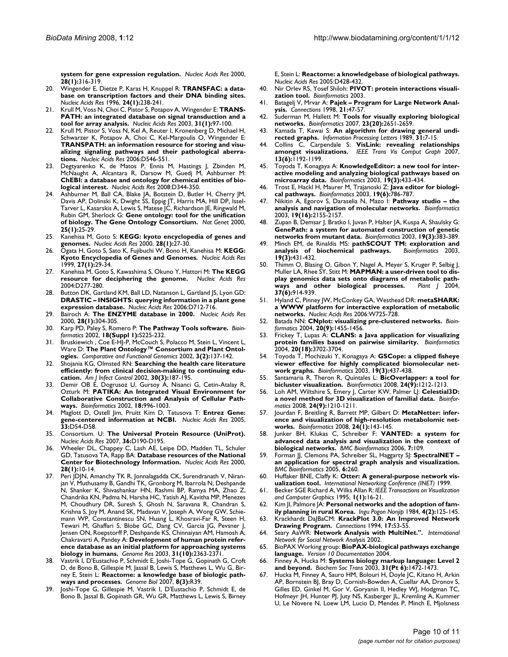**[system for gene expression regulation.](http://www.ncbi.nlm.nih.gov/entrez/query.fcgi?cmd=Retrieve&db=PubMed&dopt=Abstract&list_uids=10592259)** *Nucleic Acids Res* 2000, **28(1):**316-319.

- <span id="page-9-0"></span>20. Wingender E, Dietze P, Karas H, Knuppel R: **[TRANSFAC: a data](http://www.ncbi.nlm.nih.gov/entrez/query.fcgi?cmd=Retrieve&db=PubMed&dopt=Abstract&list_uids=8594589)[base on transcription factors and their DNA binding sites.](http://www.ncbi.nlm.nih.gov/entrez/query.fcgi?cmd=Retrieve&db=PubMed&dopt=Abstract&list_uids=8594589)** *Nucleic Acids Res* 1996, **24(1):**238-241.
- <span id="page-9-1"></span>21. Krull M, Voss N, Choi C, Pistor S, Potapov A, Wingender E: **[TRANS-](http://www.ncbi.nlm.nih.gov/entrez/query.fcgi?cmd=Retrieve&db=PubMed&dopt=Abstract&list_uids=12519957)[PATH: an integrated database on signal transduction and a](http://www.ncbi.nlm.nih.gov/entrez/query.fcgi?cmd=Retrieve&db=PubMed&dopt=Abstract&list_uids=12519957) [tool for array analysis.](http://www.ncbi.nlm.nih.gov/entrez/query.fcgi?cmd=Retrieve&db=PubMed&dopt=Abstract&list_uids=12519957)** *Nucleic Acids Res* 2003, **31(1):**97-100.
- <span id="page-9-2"></span>22. Krull M, Pistor S, Voss N, Kel A, Reuter I, Kronenberg D, Michael H, Schwarzer K, Potapov A, Choi C, Kel-Margoulis O, Wingender E: **[TRANSPATH: an information resource for storing and visu](http://www.ncbi.nlm.nih.gov/entrez/query.fcgi?cmd=Retrieve&db=PubMed&dopt=Abstract&list_uids=16381929)alizing signaling pathways and their pathological aberra[tions.](http://www.ncbi.nlm.nih.gov/entrez/query.fcgi?cmd=Retrieve&db=PubMed&dopt=Abstract&list_uids=16381929)** *Nucleic Acids Res* 2006:D546-551.
- <span id="page-9-3"></span>23. Degtyarenko K, de Matos P, Ennis M, Hastings J, Zbinden M, McNaught A, Alcantara R, Darsow M, Guedj M, Ashburner M: **[ChEBI: a database and ontology for chemical entities of bio](http://www.ncbi.nlm.nih.gov/entrez/query.fcgi?cmd=Retrieve&db=PubMed&dopt=Abstract&list_uids=17932057)[logical interest.](http://www.ncbi.nlm.nih.gov/entrez/query.fcgi?cmd=Retrieve&db=PubMed&dopt=Abstract&list_uids=17932057)** *Nucleic Acids Res* 2008:D344-350.
- <span id="page-9-4"></span>24. Ashburner M, Ball CA, Blake JA, Botstein D, Butler H, Cherry JM, Davis AP, Dolinski K, Dwight SS, Eppig JT, Harris MA, Hill DP, Issel-Tarver L, Kasarskis A, Lewis S, Matese JC, Richardson JE, Ringwald M, Rubin GM, Sherlock G: **[Gene ontology: tool for the unification](http://www.ncbi.nlm.nih.gov/entrez/query.fcgi?cmd=Retrieve&db=PubMed&dopt=Abstract&list_uids=10802651) [of biology. The Gene Ontology Consortium.](http://www.ncbi.nlm.nih.gov/entrez/query.fcgi?cmd=Retrieve&db=PubMed&dopt=Abstract&list_uids=10802651)** *Nat Genet* 2000, **25(1):**25-29.
- <span id="page-9-5"></span>25. Kanehisa M, Goto S: **[KEGG: kyoto encyclopedia of genes and](http://www.ncbi.nlm.nih.gov/entrez/query.fcgi?cmd=Retrieve&db=PubMed&dopt=Abstract&list_uids=10592173) [genomes.](http://www.ncbi.nlm.nih.gov/entrez/query.fcgi?cmd=Retrieve&db=PubMed&dopt=Abstract&list_uids=10592173)** *Nucleic Acids Res* 2000, **28(1):**27-30.
- 26. Ogata H, Goto S, Sato K, Fujibuchi W, Bono H, Kanehisa M: **[KEGG:](http://www.ncbi.nlm.nih.gov/entrez/query.fcgi?cmd=Retrieve&db=PubMed&dopt=Abstract&list_uids=9847135) [Kyoto Encyclopedia of Genes and Genomes.](http://www.ncbi.nlm.nih.gov/entrez/query.fcgi?cmd=Retrieve&db=PubMed&dopt=Abstract&list_uids=9847135)** *Nucleic Acids Res* 1999, **27(1):**29-34.
- <span id="page-9-6"></span>27. Kanehisa M, Goto S, Kawashima S, Okuno Y, Hattori M: **[The KEGG](http://www.ncbi.nlm.nih.gov/entrez/query.fcgi?cmd=Retrieve&db=PubMed&dopt=Abstract&list_uids=14681412) [resource for deciphering the genome.](http://www.ncbi.nlm.nih.gov/entrez/query.fcgi?cmd=Retrieve&db=PubMed&dopt=Abstract&list_uids=14681412)** *Nucleic Acids Res* 2004:D277-280.
- <span id="page-9-7"></span>28. Button DK, Gartland KM, Ball LD, Natanson L, Gartland JS, Lyon GD: **[DRASTIC – INSIGHTS: querying information in a plant gene](http://www.ncbi.nlm.nih.gov/entrez/query.fcgi?cmd=Retrieve&db=PubMed&dopt=Abstract&list_uids=16381965) [expression database.](http://www.ncbi.nlm.nih.gov/entrez/query.fcgi?cmd=Retrieve&db=PubMed&dopt=Abstract&list_uids=16381965)** *Nucleic Acids Res* 2006:D712-716.
- <span id="page-9-8"></span>29. Bairoch A: **[The ENZYME database in 2000.](http://www.ncbi.nlm.nih.gov/entrez/query.fcgi?cmd=Retrieve&db=PubMed&dopt=Abstract&list_uids=10592255)** *Nucleic Acids Res* 2000, **28(1):**304-305.
- <span id="page-9-9"></span>30. Karp PD, Paley S, Romero P: **[The Pathway Tools software.](http://www.ncbi.nlm.nih.gov/entrez/query.fcgi?cmd=Retrieve&db=PubMed&dopt=Abstract&list_uids=12169551)** *Bioinformatics* 2002, **18(Suppl 1):**S225-232.
- <span id="page-9-10"></span>31. Bruskiewich , Coe E-HJ-P, McCouch S, Polacco M, Stein L, Vincent L, Ware D: **The Plant Ontology™ Consortium and Plant Ontologies.** *Comparative and Functional Genomics* 2002, **3(2):**137-142.
- <span id="page-9-11"></span>32. Shojania KG, Olmsted RN: **[Searching the health care literature](http://www.ncbi.nlm.nih.gov/entrez/query.fcgi?cmd=Retrieve&db=PubMed&dopt=Abstract&list_uids=11988716) [efficiently: from clinical decision-making to continuing edu](http://www.ncbi.nlm.nih.gov/entrez/query.fcgi?cmd=Retrieve&db=PubMed&dopt=Abstract&list_uids=11988716)[cation.](http://www.ncbi.nlm.nih.gov/entrez/query.fcgi?cmd=Retrieve&db=PubMed&dopt=Abstract&list_uids=11988716)** *Am J Infect Control* 2002, **30(3):**187-195.
- <span id="page-9-12"></span>33. Demir OB E, Dogrusoz U, Gursoy A, Nisanci G, Cetin-Atalay R, Ozturk M: **[PATIKA: An Integrated Visual Environment for](http://www.ncbi.nlm.nih.gov/entrez/query.fcgi?cmd=Retrieve&db=PubMed&dopt=Abstract&list_uids=12117798) [Collaborative Construction and Analysis of Cellular Path](http://www.ncbi.nlm.nih.gov/entrez/query.fcgi?cmd=Retrieve&db=PubMed&dopt=Abstract&list_uids=12117798)[ways.](http://www.ncbi.nlm.nih.gov/entrez/query.fcgi?cmd=Retrieve&db=PubMed&dopt=Abstract&list_uids=12117798)** *Bioinformatics* 2002, **18:**996-1003.
- <span id="page-9-13"></span>34. Maglott D, Ostell Jim, Pruitt Kim D, Tatusova T: **[Entrez Gene:](http://www.ncbi.nlm.nih.gov/entrez/query.fcgi?cmd=Retrieve&db=PubMed&dopt=Abstract&list_uids=15608257) [gene-centered information at NCBI.](http://www.ncbi.nlm.nih.gov/entrez/query.fcgi?cmd=Retrieve&db=PubMed&dopt=Abstract&list_uids=15608257)** *Nucleic Acids Res* 2005, **33:**D54-D58.
- <span id="page-9-14"></span>35. Consortium. U: **[The Universal Protein Resource \(UniProt\).](http://www.ncbi.nlm.nih.gov/entrez/query.fcgi?cmd=Retrieve&db=PubMed&dopt=Abstract&list_uids=18045787)** *Nucleic Acids Res* 2007, **36:**D190-D195.
- <span id="page-9-15"></span>36. Wheeler DL, Chappey C, Lash AE, Leipe DD, Madden TL, Schuler GD, Tatusova TA, Rapp BA: **[Database resources of the National](http://www.ncbi.nlm.nih.gov/entrez/query.fcgi?cmd=Retrieve&db=PubMed&dopt=Abstract&list_uids=10592169) [Center for Biotechnology Information.](http://www.ncbi.nlm.nih.gov/entrez/query.fcgi?cmd=Retrieve&db=PubMed&dopt=Abstract&list_uids=10592169)** *Nucleic Acids Res* 2000, **28(1):**10-14.
- <span id="page-9-16"></span>37. Peri JDJN, Amanchy TK R, Jonnalagadda CK, Surendranath V, Niranjan V, Muthusamy B, Gandhi TK, Gronborg M, Ibarrola N, Deshpande N, Shanker K, Shivashankar HN, Rashmi BP, Ramya MA, Zhao Z, Chandrika KN, Padma N, Harsha HC, Yatish AJ, Kavitha MP, Menezes M, Choudhury DR, Suresh S, Ghosh N, Saravana R, Chandran S, Krishna S, Joy M, Anand SK, Madavan V, Joseph A, Wong GW, Schiemann WP, Constantinescu SN, Huang L, Khosravi-Far R, Steen H, Tewari M, Ghaffari S, Blobe GC, Dang CV, Garcia JG, Pevsner J, Jensen ON, Roepstorff P, Deshpande KS, Chinnaiyan AM, Hamosh A, Chakravarti A, Pandey A: **Development of human protein reference database as an initial platform for approaching systems biology in humans.** *Genome Res* 2003, **31(10):**2363-2371.
- <span id="page-9-17"></span>38. Vastrik I, D'Eustachio P, Schmidt E, Joshi-Tope G, Gopinath G, Croft D, de Bono B, Gillespie M, Jassal B, Lewis S, Matthews L, Wu G, Birney E, Stein L: **[Reactome: a knowledge base of biologic path](http://www.ncbi.nlm.nih.gov/entrez/query.fcgi?cmd=Retrieve&db=PubMed&dopt=Abstract&list_uids=17367534)[ways and processes.](http://www.ncbi.nlm.nih.gov/entrez/query.fcgi?cmd=Retrieve&db=PubMed&dopt=Abstract&list_uids=17367534)** *Genome Biol* 2007, **8(3):**R39.
- <span id="page-9-18"></span>39. Joshi-Tope G, Gillespie M, Vastrik I, D'Eustachio P, Schmidt E, de Bono B, Jassal B, Gopinath GR, Wu GR, Matthews L, Lewis S, Birney

E, Stein L: **[Reactome: a knowledgebase of biological pathways.](http://www.ncbi.nlm.nih.gov/entrez/query.fcgi?cmd=Retrieve&db=PubMed&dopt=Abstract&list_uids=15608231)** *Nucleic Acids Res* 2005:D428-432.

- <span id="page-9-19"></span>40. Nir Orlev RS, Yosef Shiloh: **PIVOT: protein interactions visualization tool.** *Bioinformatics* 2003.
- <span id="page-9-20"></span>41. Batagelj V, Mrvar A: **Pajek – Program for Large Network Analysis.** *Connections* 1998, **21:**47-57.
- <span id="page-9-21"></span>42. Suderman M, Hallett M: **[Tools for visually exploring biological](http://www.ncbi.nlm.nih.gov/entrez/query.fcgi?cmd=Retrieve&db=PubMed&dopt=Abstract&list_uids=17720984) [networks.](http://www.ncbi.nlm.nih.gov/entrez/query.fcgi?cmd=Retrieve&db=PubMed&dopt=Abstract&list_uids=17720984)** *Bioinformatics* 2007, **23(20):**2651-2659.
- <span id="page-9-22"></span>43. Kamada T, Kawai S: **An algorithm for drawing general undirected graphs.** *Information Processing Letters* 1989, **31:**7-15.
- <span id="page-9-23"></span>44. Collins C, Carpendale S: **[VisLink: revealing relationships](http://www.ncbi.nlm.nih.gov/entrez/query.fcgi?cmd=Retrieve&db=PubMed&dopt=Abstract&list_uids=17968064) [amongst visualizations.](http://www.ncbi.nlm.nih.gov/entrez/query.fcgi?cmd=Retrieve&db=PubMed&dopt=Abstract&list_uids=17968064)** *IEEE Trans Vis Comput Graph* 2007, **13(6):**1192-1199.
- <span id="page-9-24"></span>45. Toyoda T, Konagaya A: **[KnowledgeEditor: a new tool for inter](http://www.ncbi.nlm.nih.gov/entrez/query.fcgi?cmd=Retrieve&db=PubMed&dopt=Abstract&list_uids=12584137)[active modeling and analyzing biological pathways based on](http://www.ncbi.nlm.nih.gov/entrez/query.fcgi?cmd=Retrieve&db=PubMed&dopt=Abstract&list_uids=12584137) [microarray data.](http://www.ncbi.nlm.nih.gov/entrez/query.fcgi?cmd=Retrieve&db=PubMed&dopt=Abstract&list_uids=12584137)** *Bioinformatics* 2003, **19(3):**433-434.
- <span id="page-9-25"></span>46. Trost E, Hackl H, Maurer M, Trajanoski Z: **[Java editor for biologi](http://www.ncbi.nlm.nih.gov/entrez/query.fcgi?cmd=Retrieve&db=PubMed&dopt=Abstract&list_uids=12691997)[cal pathways.](http://www.ncbi.nlm.nih.gov/entrez/query.fcgi?cmd=Retrieve&db=PubMed&dopt=Abstract&list_uids=12691997)** *Bioinformatics* 2003, **19(6):**786-787.
- <span id="page-9-26"></span>47. Nikitin A, Egorov S, Daraselia N, Mazo I: **[Pathway studio – the](http://www.ncbi.nlm.nih.gov/entrez/query.fcgi?cmd=Retrieve&db=PubMed&dopt=Abstract&list_uids=14594725) [analysis and navigation of molecular networks.](http://www.ncbi.nlm.nih.gov/entrez/query.fcgi?cmd=Retrieve&db=PubMed&dopt=Abstract&list_uids=14594725)** *Bioinformatics* 2003, **19(16):**2155-2157.
- <span id="page-9-27"></span>48. Zupan B, Demsar J, Bratko I, Juvan P, Halter JA, Kuspa A, Shaulsky G: **[GenePath: a system for automated construction of genetic](http://www.ncbi.nlm.nih.gov/entrez/query.fcgi?cmd=Retrieve&db=PubMed&dopt=Abstract&list_uids=12584124) [networks from mutant data.](http://www.ncbi.nlm.nih.gov/entrez/query.fcgi?cmd=Retrieve&db=PubMed&dopt=Abstract&list_uids=12584124)** *Bioinformatics* 2003, **19(3):**383-389.
- <span id="page-9-28"></span>49. Minch EM, de Rinaldis MS: **[pathSCOUT TM: exploration and](http://www.ncbi.nlm.nih.gov/entrez/query.fcgi?cmd=Retrieve&db=PubMed&dopt=Abstract&list_uids=12584136)** [analysis of biochemical pathways.](http://www.ncbi.nlm.nih.gov/entrez/query.fcgi?cmd=Retrieve&db=PubMed&dopt=Abstract&list_uids=12584136) **19(3):**431-432.
- <span id="page-9-29"></span>50. Thimm O, Blasing O, Gibon Y, Nagel A, Meyer S, Kruger P, Selbig J, Muller LA, Rhee SY, Stitt M: **[MAPMAN: a user-driven tool to dis](http://www.ncbi.nlm.nih.gov/entrez/query.fcgi?cmd=Retrieve&db=PubMed&dopt=Abstract&list_uids=14996223)**play genomics data sets onto diagrams of metabolic path-<br>ways and other biological processes. Plant J 2004, [ways and other biological processes.](http://www.ncbi.nlm.nih.gov/entrez/query.fcgi?cmd=Retrieve&db=PubMed&dopt=Abstract&list_uids=14996223) **37(6):**914-939.
- <span id="page-9-30"></span>51. Hyland C, Pinney JW, McConkey GA, Westhead DR: **[metaSHARK:](http://www.ncbi.nlm.nih.gov/entrez/query.fcgi?cmd=Retrieve&db=PubMed&dopt=Abstract&list_uids=16845107) [a WWW platform for interactive exploration of metabolic](http://www.ncbi.nlm.nih.gov/entrez/query.fcgi?cmd=Retrieve&db=PubMed&dopt=Abstract&list_uids=16845107) [networks.](http://www.ncbi.nlm.nih.gov/entrez/query.fcgi?cmd=Retrieve&db=PubMed&dopt=Abstract&list_uids=16845107)** *Nucleic Acids Res* 2006:W725-728.
- <span id="page-9-31"></span>52. Batada NN: **[CNplot: visualizing pre-clustered networks.](http://www.ncbi.nlm.nih.gov/entrez/query.fcgi?cmd=Retrieve&db=PubMed&dopt=Abstract&list_uids=14871859)** *Bioinformatics* 2004, **20(9):**1455-1456.
- <span id="page-9-32"></span>53. Frickey T, Lupas A: **[CLANS: a Java application for visualizing](http://www.ncbi.nlm.nih.gov/entrez/query.fcgi?cmd=Retrieve&db=PubMed&dopt=Abstract&list_uids=15284097) [protein families based on pairwise similarity.](http://www.ncbi.nlm.nih.gov/entrez/query.fcgi?cmd=Retrieve&db=PubMed&dopt=Abstract&list_uids=15284097)** *Bioinformatics* 2004, **20(18):**3702-3704.
- <span id="page-9-33"></span>54. Toyoda T, Mochizuki Y, Konagaya A: **[GSCope: a clipped fisheye](http://www.ncbi.nlm.nih.gov/entrez/query.fcgi?cmd=Retrieve&db=PubMed&dopt=Abstract&list_uids=12584139) [viewer effective for highly complicated biomolecular net](http://www.ncbi.nlm.nih.gov/entrez/query.fcgi?cmd=Retrieve&db=PubMed&dopt=Abstract&list_uids=12584139)[work graphs.](http://www.ncbi.nlm.nih.gov/entrez/query.fcgi?cmd=Retrieve&db=PubMed&dopt=Abstract&list_uids=12584139)** *Bioinformatics* 2003, **19(3):**437-438.
- <span id="page-9-34"></span>55. Santamaria R, Theron R, Quintales L: **[BicOverlapper: a tool for](http://www.ncbi.nlm.nih.gov/entrez/query.fcgi?cmd=Retrieve&db=PubMed&dopt=Abstract&list_uids=18321885) [bicluster visualization.](http://www.ncbi.nlm.nih.gov/entrez/query.fcgi?cmd=Retrieve&db=PubMed&dopt=Abstract&list_uids=18321885)** *Bioinformatics* 2008, **24(9):**1212-1213.
- <span id="page-9-35"></span>56. Loh AM, Wiltshire S, Emery J, Carter KW, Palmer LJ: **[Celestial3D:](http://www.ncbi.nlm.nih.gov/entrez/query.fcgi?cmd=Retrieve&db=PubMed&dopt=Abstract&list_uids=18346980) [a novel method for 3D visualization of familial data.](http://www.ncbi.nlm.nih.gov/entrez/query.fcgi?cmd=Retrieve&db=PubMed&dopt=Abstract&list_uids=18346980)** *Bioinformatics* 2008, **24(9):**1210-1211.
- <span id="page-9-36"></span>57. Jourdan F, Breitling R, Barrett MP, Gilbert D: **[MetaNetter: infer](http://www.ncbi.nlm.nih.gov/entrez/query.fcgi?cmd=Retrieve&db=PubMed&dopt=Abstract&list_uids=18003642)[ence and visualization of high-resolution metabolomic net](http://www.ncbi.nlm.nih.gov/entrez/query.fcgi?cmd=Retrieve&db=PubMed&dopt=Abstract&list_uids=18003642)[works.](http://www.ncbi.nlm.nih.gov/entrez/query.fcgi?cmd=Retrieve&db=PubMed&dopt=Abstract&list_uids=18003642)** *Bioinformatics* 2008, **24(1):**143-145.
- <span id="page-9-37"></span>58. Junker BH, Klukas C, Schreiber F: **[VANTED: a system for](http://www.ncbi.nlm.nih.gov/entrez/query.fcgi?cmd=Retrieve&db=PubMed&dopt=Abstract&list_uids=16519817) [advanced data analysis and visualization in the context of](http://www.ncbi.nlm.nih.gov/entrez/query.fcgi?cmd=Retrieve&db=PubMed&dopt=Abstract&list_uids=16519817) [biological networks.](http://www.ncbi.nlm.nih.gov/entrez/query.fcgi?cmd=Retrieve&db=PubMed&dopt=Abstract&list_uids=16519817)** *BMC Bioinformatics* 2006, **7:**109.
- <span id="page-9-38"></span>59. Forman JJ, Clemons PA, Schreiber SL, Haggarty SJ: **[SpectralNET –](http://www.ncbi.nlm.nih.gov/entrez/query.fcgi?cmd=Retrieve&db=PubMed&dopt=Abstract&list_uids=16236170) [an application for spectral graph analysis and visualization.](http://www.ncbi.nlm.nih.gov/entrez/query.fcgi?cmd=Retrieve&db=PubMed&dopt=Abstract&list_uids=16236170)** *BMC Bioinformatics* 2005, **6:**260.
- <span id="page-9-39"></span>Huffaker BNE, Claffy K: Otter: A general-purpose network vis**ualization tool.** *International Networking Conference (INET)* 1999.
- <span id="page-9-40"></span>61. Becker SGE Richard A, Wilks Allan R: *IEEE Transactions on Visualization and Computer Graphics* 1995, **1(1):**16-21.
- <span id="page-9-41"></span>62. Kim JI, Palmore JA: **[Personal networks and the adoption of fam](http://www.ncbi.nlm.nih.gov/entrez/query.fcgi?cmd=Retrieve&db=PubMed&dopt=Abstract&list_uids=12313497)[ily planning in rural Korea.](http://www.ncbi.nlm.nih.gov/entrez/query.fcgi?cmd=Retrieve&db=PubMed&dopt=Abstract&list_uids=12313497)** *Ingu Pogon Nonjip* 1984, **4(2):**125-145.
- <span id="page-9-42"></span>63. Krackhardt DaJBaCM: **KrackPlot 3.0: An Improved Network Drawing Program.** *Connections* 1994, **17:**53-55.
- <span id="page-9-43"></span>64. Seary AaWR: **Network Analysis with MultiNet.".** *International Network for Social Network Analysis* 2002.
- <span id="page-9-44"></span>65. BioPAX Working group: **BioPAX-biological pathways exchange language.** *Version 10 Documentation* 2004.
- <span id="page-9-45"></span>66. Finney A, Hucka M: **[Systems biology markup language: Level 2](http://www.ncbi.nlm.nih.gov/entrez/query.fcgi?cmd=Retrieve&db=PubMed&dopt=Abstract&list_uids=14641091) [and beyond.](http://www.ncbi.nlm.nih.gov/entrez/query.fcgi?cmd=Retrieve&db=PubMed&dopt=Abstract&list_uids=14641091)** *Biochem Soc Trans* 2003, **31(Pt 6):**1472-1473.
- <span id="page-9-46"></span>Hucka M, Finney A, Sauro HM, Bolouri H, Doyle JC, Kitano H, Arkin AP, Bornstein BJ, Bray D, Cornish-Bowden A, Cuellar AA, Dronov S, Gilles ED, Ginkel M, Gor V, Goryanin II, Hedley WJ, Hodgman TC, Hofmeyr JH, Hunter PJ, Juty NS, Kasberger JL, Kremling A, Kummer U, Le Novere N, Loew LM, Lucio D, Mendes P, Minch E, Mjolsness